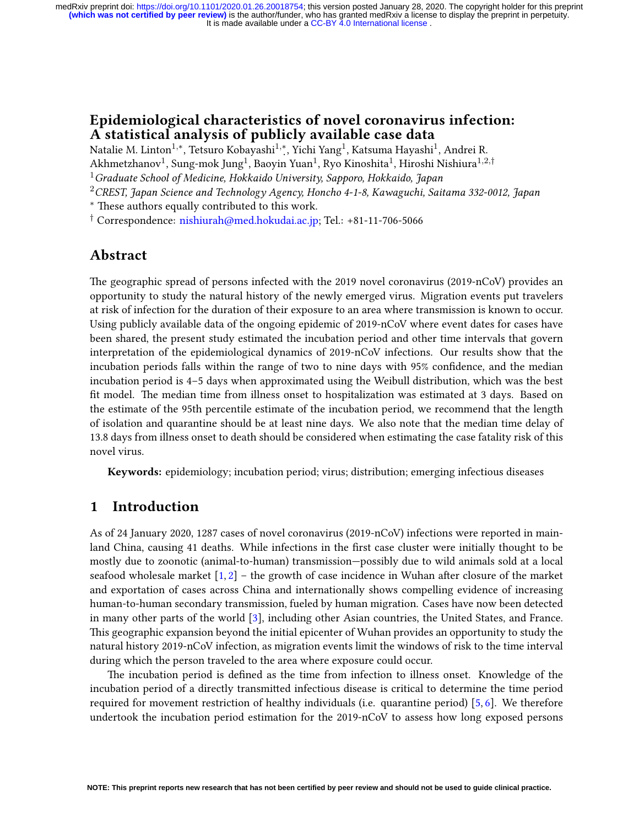### **Epidemiological characteristics of novel coronavirus infection: A statistical analysis of publicly available case data**

Natalie M. Linton<sup>1,∗</sup>, Tetsuro Kobayashi<sup>1,∗</sup>, Yichi Yang<sup>1</sup>, Katsuma Hayashi<sup>1</sup>, Andrei R.

Akhmetzhanov<sup>1</sup>, Sung-mok Jung<sup>1</sup>, Baoyin Yuan<sup>1</sup>, Ryo Kinoshita<sup>1</sup>, Hiroshi Nishiura<sup>1,2,†</sup>

<sup>1</sup>*Graduate School of Medicine, Hokkaido University, Sapporo, Hokkaido, Japan*

<sup>2</sup>*CREST, Japan Science and Technology Agency, Honcho 4-1-8, Kawaguchi, Saitama 332-0012, Japan*

*∗* These authors equally contributed to this work.

*†* Correspondence: [nishiurah@med.hokudai.ac.jp](mailto:nishiurah@med.hokudai.ac.jp); Tel.: +81-11-706-5066

### **Abstract**

The geographic spread of persons infected with the 2019 novel coronavirus (2019-nCoV) provides an opportunity to study the natural history of the newly emerged virus. Migration events put travelers at risk of infection for the duration of their exposure to an area where transmission is known to occur. Using publicly available data of the ongoing epidemic of 2019-nCoV where event dates for cases have been shared, the present study estimated the incubation period and other time intervals that govern interpretation of the epidemiological dynamics of 2019-nCoV infections. Our results show that the incubation periods falls within the range of two to nine days with 95% confidence, and the median incubation period is 4–5 days when approximated using the Weibull distribution, which was the best fit model. The median time from illness onset to hospitalization was estimated at 3 days. Based on the estimate of the 95th percentile estimate of the incubation period, we recommend that the length of isolation and quarantine should be at least nine days. We also note that the median time delay of 13.8 days from illness onset to death should be considered when estimating the case fatality risk of this novel virus.

**Keywords:** epidemiology; incubation period; virus; distribution; emerging infectious diseases

## **1 Introduction**

As of 24 January 2020, 1287 cases of novel coronavirus (2019-nCoV) infections were reported in mainland China, causing 41 deaths. While infections in the first case cluster were initially thought to be mostly due to zoonotic (animal-to-human) transmission—possibly due to wild animals sold at a local seafoodwholesale market  $[1, 2]$  $[1, 2]$  $[1, 2]$  $[1, 2]$  – the growth of case incidence in Wuhan after closure of the market and exportation of cases across China and internationally shows compelling evidence of increasing human-to-human secondary transmission, fueled by human migration. Cases have now been detected in many other parts of the world [\[3](#page-5-2)], including other Asian countries, the United States, and France. This geographic expansion beyond the initial epicenter of Wuhan provides an opportunity to study the natural history 2019-nCoV infection, as migration events limit the windows of risk to the time interval during which the person traveled to the area where exposure could occur.

The incubation period is defined as the time from infection to illness onset. Knowledge of the incubation period of a directly transmitted infectious disease is critical to determine the time period required for movement restriction of healthy individuals (i.e. quarantine period)[[5,](#page-5-3) [6\]](#page-5-4). We therefore undertook the incubation period estimation for the 2019-nCoV to assess how long exposed persons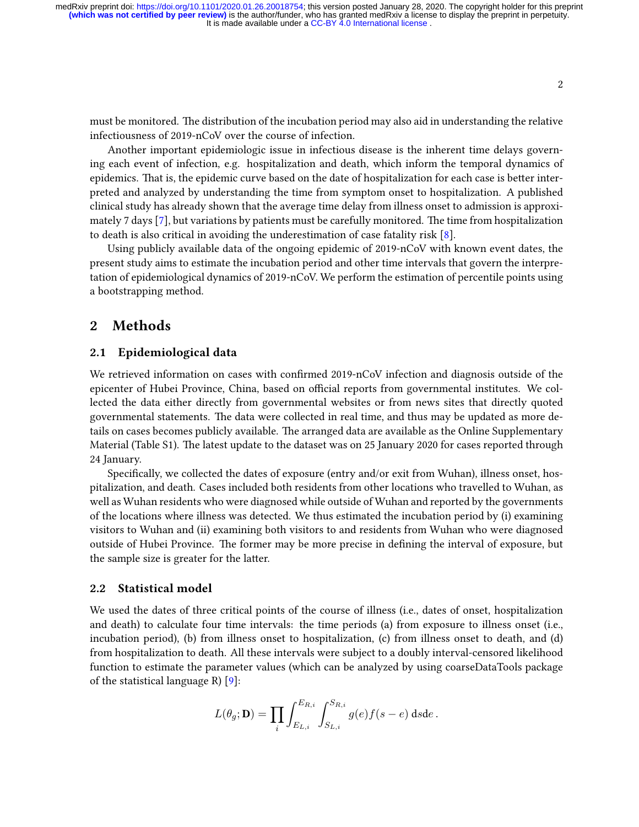must be monitored. The distribution of the incubation period may also aid in understanding the relative infectiousness of 2019-nCoV over the course of infection.

Another important epidemiologic issue in infectious disease is the inherent time delays governing each event of infection, e.g. hospitalization and death, which inform the temporal dynamics of epidemics. That is, the epidemic curve based on the date of hospitalization for each case is better interpreted and analyzed by understanding the time from symptom onset to hospitalization. A published clinical study has already shown that the average time delay from illness onset to admission is approximately 7 days [\[7](#page-5-5)], but variations by patients must be carefully monitored. The time from hospitalization to death is also critical in avoiding the underestimation of case fatality risk[[8\]](#page-5-6).

Using publicly available data of the ongoing epidemic of 2019-nCoV with known event dates, the present study aims to estimate the incubation period and other time intervals that govern the interpretation of epidemiological dynamics of 2019-nCoV. We perform the estimation of percentile points using a bootstrapping method.

### **2 Methods**

#### **2.1 Epidemiological data**

We retrieved information on cases with confirmed 2019-nCoV infection and diagnosis outside of the epicenter of Hubei Province, China, based on official reports from governmental institutes. We collected the data either directly from governmental websites or from news sites that directly quoted governmental statements. The data were collected in real time, and thus may be updated as more details on cases becomes publicly available. The arranged data are available as the Online Supplementary Material (Table S1). The latest update to the dataset was on 25 January 2020 for cases reported through 24 January.

Specifically, we collected the dates of exposure (entry and/or exit from Wuhan), illness onset, hospitalization, and death. Cases included both residents from other locations who travelled to Wuhan, as well as Wuhan residents who were diagnosed while outside of Wuhan and reported by the governments of the locations where illness was detected. We thus estimated the incubation period by (i) examining visitors to Wuhan and (ii) examining both visitors to and residents from Wuhan who were diagnosed outside of Hubei Province. The former may be more precise in defining the interval of exposure, but the sample size is greater for the latter.

#### **2.2 Statistical model**

We used the dates of three critical points of the course of illness (i.e., dates of onset, hospitalization and death) to calculate four time intervals: the time periods (a) from exposure to illness onset (i.e., incubation period), (b) from illness onset to hospitalization, (c) from illness onset to death, and (d) from hospitalization to death. All these intervals were subject to a doubly interval-censored likelihood function to estimate the parameter values (which can be analyzed by using coarseDataTools package of the statistical language R)  $[9]$ :

$$
L(\theta_g; \mathbf{D}) = \prod_i \int_{E_{L,i}}^{E_{R,i}} \int_{S_{L,i}}^{S_{R,i}} g(e) f(s-e) \, dsde.
$$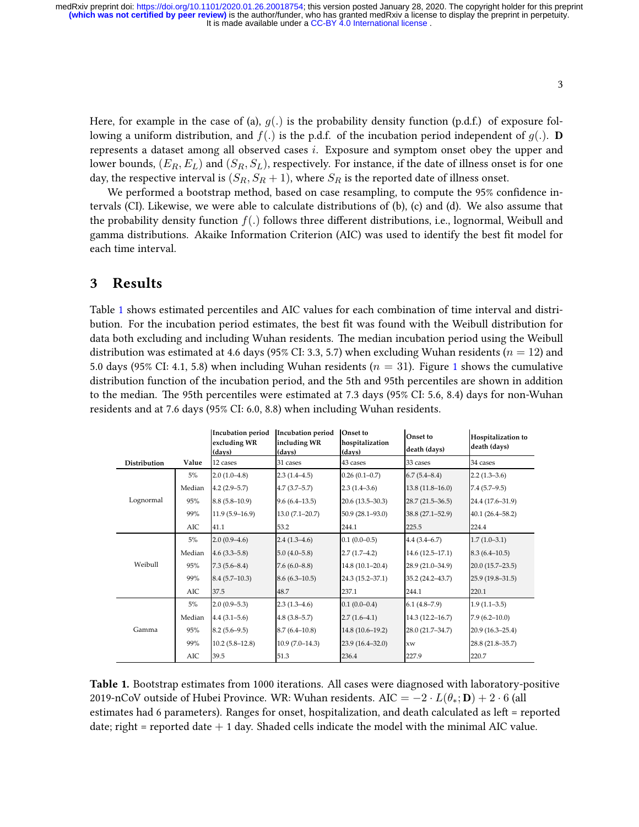It is made available under a CC-BY 4.0 International license. **(which was not certified by peer review)** is the author/funder, who has granted medRxiv a license to display the preprint in perpetuity. medRxiv preprint doi: [https://doi.org/10.1101/2020.01.26.20018754;](https://doi.org/10.1101/2020.01.26.20018754) this version posted January 28, 2020. The copyright holder for this preprint

Here, for example in the case of (a),  $g(.)$  is the probability density function (p.d.f.) of exposure following a uniform distribution, and  $f(.)$  is the p.d.f. of the incubation period independent of  $g(.)$ . **D** represents a dataset among all observed cases *i*. Exposure and symptom onset obey the upper and lower bounds, (*ER, EL*) and (*SR, SL*), respectively. For instance, if the date of illness onset is for one day, the respective interval is  $(S_R, S_R + 1)$ , where  $S_R$  is the reported date of illness onset.

We performed a bootstrap method, based on case resampling, to compute the 95% confidence intervals (CI). Likewise, we were able to calculate distributions of (b), (c) and (d). We also assume that the probability density function *f*(*.*) follows three different distributions, i.e., lognormal, Weibull and gamma distributions. Akaike Information Criterion (AIC) was used to identify the best fit model for each time interval.

### **3 Results**

Table [1](#page-2-0) shows estimated percentiles and AIC values for each combination of time interval and distribution. For the incubation period estimates, the best fit was found with the Weibull distribution for data both excluding and including Wuhan residents. The median incubation period using the Weibull distribution was estimated at 4.6 days (95% CI: 3.3, 5.7) when excluding Wuhan residents (*n* = 12) and 5.0 days (95% CI: 4.1, 5.8) when including Wuhan residents (*n* = 31). Figure [1](#page-3-0) shows the cumulative distribution function of the incubation period, and the 5th and 95th percentiles are shown in addition to the median. The 95th percentiles were estimated at 7.3 days (95% CI: 5.6, 8.4) days for non-Wuhan residents and at 7.6 days (95% CI: 6.0, 8.8) when including Wuhan residents.

<span id="page-2-0"></span>

|              |        | <b>Incubation period</b><br>excluding WR<br>(days) | <b>Incubation period</b><br>including WR<br>(davs) | Onset to<br>hospitalization<br>(days) | Onset to<br>death (days) | Hospitalization to<br>death (days) |
|--------------|--------|----------------------------------------------------|----------------------------------------------------|---------------------------------------|--------------------------|------------------------------------|
| Distribution | Value  | 12 cases                                           | 31 cases                                           | 43 cases                              | 33 cases                 | 34 cases                           |
| Lognormal    | $5\%$  | $2.0(1.0-4.8)$                                     | $2.3(1.4-4.5)$                                     | $0.26(0.1-0.7)$                       | $6.7(5.4 - 8.4)$         | $2.2(1.3-3.6)$                     |
|              | Median | $4.2(2.9-5.7)$                                     | $4.7(3.7-5.7)$                                     | $2.3(1.4-3.6)$                        | $13.8(11.8 - 16.0)$      | $7.4(5.7-9.5)$                     |
|              | 95%    | $8.8(5.8-10.9)$                                    | $9.6(6.4-13.5)$                                    | $20.6(13.5-30.3)$                     | $28.7(21.5-36.5)$        | 24.4 (17.6-31.9)                   |
|              | 99%    | $11.9(5.9-16.9)$                                   | $13.0(7.1 - 20.7)$                                 | $50.9(28.1 - 93.0)$                   | $38.8(27.1 - 52.9)$      | $40.1(26.4 - 58.2)$                |
|              | AIC    | 41.1                                               | 53.2                                               | 244.1                                 | 225.5                    | 224.4                              |
| Weibull      | 5%     | $2.0(0.9-4.6)$                                     | $2.4(1.3-4.6)$                                     | $0.1(0.0-0.5)$                        | $4.4(3.4 - 6.7)$         | $1.7(1.0-3.1)$                     |
|              | Median | $4.6(3.3-5.8)$                                     | $5.0(4.0-5.8)$                                     | $2.7(1.7-4.2)$                        | $14.6(12.5-17.1)$        | $8.3(6.4-10.5)$                    |
|              | 95%    | $7.3(5.6-8.4)$                                     | $7.6(6.0-8.8)$                                     | $14.8(10.1 - 20.4)$                   | 28.9 (21.0-34.9)         | 20.0 (15.7-23.5)                   |
|              | 99%    | $8.4(5.7-10.3)$                                    | $8.6(6.3-10.5)$                                    | 24.3 (15.2-37.1)                      | 35.2 (24.2-43.7)         | 25.9 (19.8–31.5)                   |
|              | AIC    | 37.5                                               | 48.7                                               | 237.1                                 | 244.1                    | 220.1                              |
| Gamma        | 5%     | $2.0(0.9-5.3)$                                     | $2.3(1.3-4.6)$                                     | $0.1(0.0-0.4)$                        | $6.1(4.8-7.9)$           | $1.9(1.1-3.5)$                     |
|              | Median | $4.4(3.1-5.6)$                                     | $4.8(3.8-5.7)$                                     | $2.7(1.6-4.1)$                        | $14.3(12.2 - 16.7)$      | $7.9(6.2 - 10.0)$                  |
|              | 95%    | $8.2(5.6-9.5)$                                     | $8.7(6.4 - 10.8)$                                  | 14.8 (10.6–19.2)                      | 28.0 (21.7-34.7)         | 20.9 (16.3-25.4)                   |
|              | 99%    | $10.2(5.8-12.8)$                                   | $10.9(7.0-14.3)$                                   | $23.9(16.4-32.0)$                     | xw                       | 28.8 (21.8-35.7)                   |
|              | AIC    | 39.5                                               | 51.3                                               | 236.4                                 | 227.9                    | 220.7                              |

**Table 1.** Bootstrap estimates from 1000 iterations. All cases were diagnosed with laboratory-positive 2019-nCoV outside of Hubei Province. WR: Wuhan residents. AIC =  $-2 \cdot L(\theta_*; \mathbf{D}) + 2 \cdot 6$  (all estimates had 6 parameters). Ranges for onset, hospitalization, and death calculated as left = reported date; right = reported date  $+1$  day. Shaded cells indicate the model with the minimal AIC value.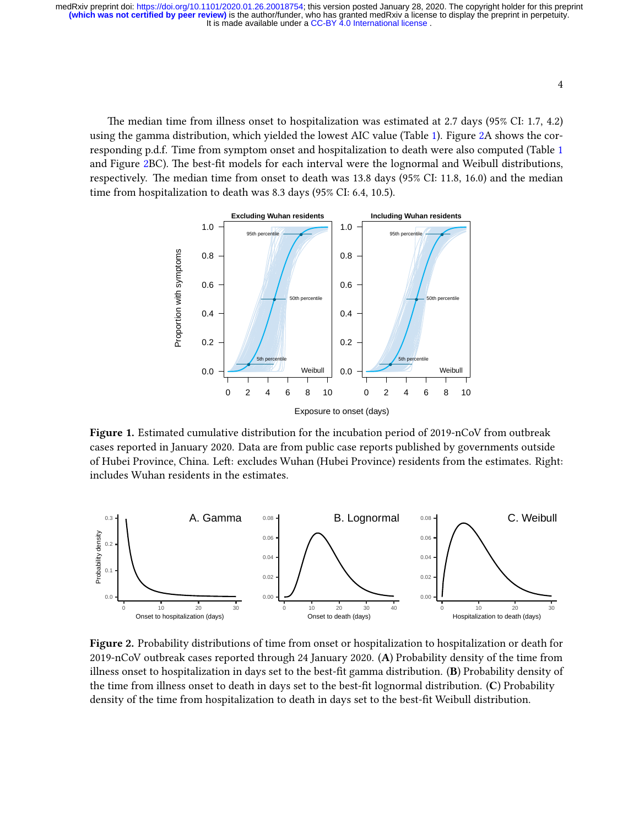It is made available under a CC-BY 4.0 International license. **(which was not certified by peer review)** is the author/funder, who has granted medRxiv a license to display the preprint in perpetuity. medRxiv preprint doi: [https://doi.org/10.1101/2020.01.26.20018754;](https://doi.org/10.1101/2020.01.26.20018754) this version posted January 28, 2020. The copyright holder for this preprint

The median time from illness onset to hospitalization was estimated at 2.7 days (95% CI: 1.7, 4.2) using the gamma distribution, which yielded the lowest AIC value (Table [1\)](#page-2-0). Figure [2](#page-3-1)A shows the corresponding p.d.f. Time from symptom onset and hospitalization to death were also computed (Table [1](#page-2-0) and Figure [2B](#page-3-1)C). The best-fit models for each interval were the lognormal and Weibull distributions, respectively. The median time from onset to death was 13.8 days (95% CI: 11.8, 16.0) and the median time from hospitalization to death was 8.3 days (95% CI: 6.4, 10.5).

<span id="page-3-0"></span>

**Figure 1.** Estimated cumulative distribution for the incubation period of 2019-nCoV from outbreak cases reported in January 2020. Data are from public case reports published by governments outside of Hubei Province, China. Left: excludes Wuhan (Hubei Province) residents from the estimates. Right: includes Wuhan residents in the estimates.

<span id="page-3-1"></span>

**Figure 2.** Probability distributions of time from onset or hospitalization to hospitalization or death for 2019-nCoV outbreak cases reported through 24 January 2020. (**A**) Probability density of the time from illness onset to hospitalization in days set to the best-fit gamma distribution. (**B**) Probability density of the time from illness onset to death in days set to the best-fit lognormal distribution. (**C**) Probability density of the time from hospitalization to death in days set to the best-fit Weibull distribution.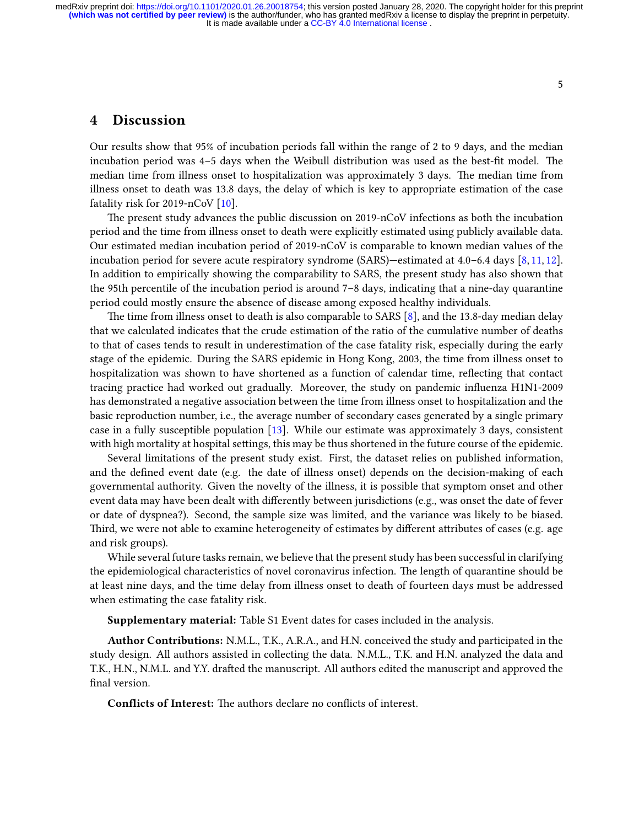### **4 Discussion**

Our results show that 95% of incubation periods fall within the range of 2 to 9 days, and the median incubation period was 4–5 days when the Weibull distribution was used as the best-fit model. The median time from illness onset to hospitalization was approximately 3 days. The median time from illness onset to death was 13.8 days, the delay of which is key to appropriate estimation of the case fatality risk for 2019-nCoV [\[10\]](#page-5-8).

The present study advances the public discussion on 2019-nCoV infections as both the incubation period and the time from illness onset to death were explicitly estimated using publicly available data. Our estimated median incubation period of 2019-nCoV is comparable to known median values of the incubation period for severe acute respiratory syndrome (SARS)—estimated at 4.0–6.4 days[[8](#page-5-6), [11](#page-5-9), [12](#page-6-0)]. In addition to empirically showing the comparability to SARS, the present study has also shown that the 95th percentile of the incubation period is around 7–8 days, indicating that a nine-day quarantine period could mostly ensure the absence of disease among exposed healthy individuals.

The time from illness onset to death is also comparable to SARS[[8\]](#page-5-6), and the 13.8-day median delay that we calculated indicates that the crude estimation of the ratio of the cumulative number of deaths to that of cases tends to result in underestimation of the case fatality risk, especially during the early stage of the epidemic. During the SARS epidemic in Hong Kong, 2003, the time from illness onset to hospitalization was shown to have shortened as a function of calendar time, reflecting that contact tracing practice had worked out gradually. Moreover, the study on pandemic influenza H1N1-2009 has demonstrated a negative association between the time from illness onset to hospitalization and the basic reproduction number, i.e., the average number of secondary cases generated by a single primary case in a fully susceptible population [\[13](#page-6-1)]. While our estimate was approximately 3 days, consistent with high mortality at hospital settings, this may be thus shortened in the future course of the epidemic.

Several limitations of the present study exist. First, the dataset relies on published information, and the defined event date (e.g. the date of illness onset) depends on the decision-making of each governmental authority. Given the novelty of the illness, it is possible that symptom onset and other event data may have been dealt with differently between jurisdictions (e.g., was onset the date of fever or date of dyspnea?). Second, the sample size was limited, and the variance was likely to be biased. Third, we were not able to examine heterogeneity of estimates by different attributes of cases (e.g. age and risk groups).

While several future tasks remain, we believe that the present study has been successful in clarifying the epidemiological characteristics of novel coronavirus infection. The length of quarantine should be at least nine days, and the time delay from illness onset to death of fourteen days must be addressed when estimating the case fatality risk.

**Supplementary material:** Table S1 Event dates for cases included in the analysis.

**Author Contributions:** N.M.L., T.K., A.R.A., and H.N. conceived the study and participated in the study design. All authors assisted in collecting the data. N.M.L., T.K. and H.N. analyzed the data and T.K., H.N., N.M.L. and Y.Y. drafted the manuscript. All authors edited the manuscript and approved the final version.

**Conflicts of Interest:** The authors declare no conflicts of interest.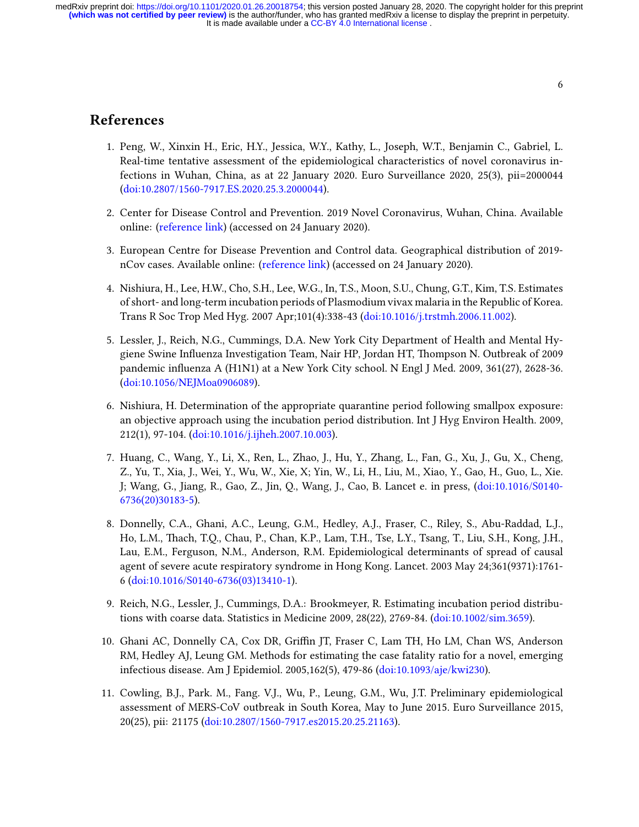It is made available under a CC-BY 4.0 International license. **(which was not certified by peer review)** is the author/funder, who has granted medRxiv a license to display the preprint in perpetuity. medRxiv preprint doi: [https://doi.org/10.1101/2020.01.26.20018754;](https://doi.org/10.1101/2020.01.26.20018754) this version posted January 28, 2020. The copyright holder for this preprint

# <span id="page-5-0"></span>**References**

- 1. Peng, W., Xinxin H., Eric, H.Y., Jessica, W.Y., Kathy, L., Joseph, W.T., Benjamin C., Gabriel, L. Real-time tentative assessment of the epidemiological characteristics of novel coronavirus infections in Wuhan, China, as at 22 January 2020. Euro Surveillance 2020, 25(3), pii=2000044 [\(doi:10.2807/1560-7917.ES.2020.25.3.2000044\)](http://dx.doi.org/10.2807/1560-7917.ES.2020.25.3.2000044).
- <span id="page-5-1"></span>2. Center for Disease Control and Prevention. 2019 Novel Coronavirus, Wuhan, China. Available online:([reference link](https://www.cdc.gov/coronavirus/2019-ncov/about/transmission.html)) (accessed on 24 January 2020).
- <span id="page-5-2"></span>3. European Centre for Disease Prevention and Control data. Geographical distribution of 2019 nCov cases. Available online: [\(reference link\)](https://www.ecdc.europa.eu/en/geographical-distribution-2019-ncov-cases) (accessed on 24 January 2020).
- 4. Nishiura, H., Lee, H.W., Cho, S.H., Lee, W.G., In, T.S., Moon, S.U., Chung, G.T., Kim, T.S. Estimates of short- and long-term incubation periods of Plasmodium vivax malaria in the Republic of Korea. Trans R Soc Trop Med Hyg. 2007 Apr;101(4):338-43([doi:10.1016/j.trstmh.2006.11.002](http://dx.doi.org/10.1016/j.trstmh.2006.11.002)).
- <span id="page-5-3"></span>5. Lessler, J., Reich, N.G., Cummings, D.A. New York City Department of Health and Mental Hygiene Swine Influenza Investigation Team, Nair HP, Jordan HT, Thompson N. Outbreak of 2009 pandemic influenza A (H1N1) at a New York City school. N Engl J Med. 2009, 361(27), 2628-36. [\(doi:10.1056/NEJMoa0906089\)](http://dx.doi.org/10.1056/NEJMoa0906089).
- <span id="page-5-4"></span>6. Nishiura, H. Determination of the appropriate quarantine period following smallpox exposure: an objective approach using the incubation period distribution. Int J Hyg Environ Health. 2009, 212(1), 97-104. [\(doi:10.1016/j.ijheh.2007.10.003](http://dx.doi.org/10.1016/j.ijheh.2007.10.003)).
- <span id="page-5-5"></span>7. Huang, C., Wang, Y., Li, X., Ren, L., Zhao, J., Hu, Y., Zhang, L., Fan, G., Xu, J., Gu, X., Cheng, Z., Yu, T., Xia, J., Wei, Y., Wu, W., Xie, X; Yin, W., Li, H., Liu, M., Xiao, Y., Gao, H., Guo, L., Xie. J; Wang, G., Jiang, R., Gao, Z., Jin, Q., Wang, J., Cao, B. Lancet e. in press,([doi:10.1016/S0140-](http://dx.doi.org/10.1016/S0140-6736(20)30183-5) [6736\(20\)30183-5](http://dx.doi.org/10.1016/S0140-6736(20)30183-5)).
- <span id="page-5-6"></span>8. Donnelly, C.A., Ghani, A.C., Leung, G.M., Hedley, A.J., Fraser, C., Riley, S., Abu-Raddad, L.J., Ho, L.M., Thach, T.Q., Chau, P., Chan, K.P., Lam, T.H., Tse, L.Y., Tsang, T., Liu, S.H., Kong, J.H., Lau, E.M., Ferguson, N.M., Anderson, R.M. Epidemiological determinants of spread of causal agent of severe acute respiratory syndrome in Hong Kong. Lancet. 2003 May 24;361(9371):1761- 6 [\(doi:10.1016/S0140-6736\(03\)13410-1](http://dx.doi.org/10.1016/S0140-6736(03)13410-1)).
- <span id="page-5-7"></span>9. Reich, N.G., Lessler, J., Cummings, D.A.: Brookmeyer, R. Estimating incubation period distributions with coarse data. Statistics in Medicine 2009, 28(22), 2769-84.([doi:10.1002/sim.3659](http://dx.doi.org/10.1002/sim.3659)).
- <span id="page-5-8"></span>10. Ghani AC, Donnelly CA, Cox DR, Griffin JT, Fraser C, Lam TH, Ho LM, Chan WS, Anderson RM, Hedley AJ, Leung GM. Methods for estimating the case fatality ratio for a novel, emerging infectious disease. Am J Epidemiol. 2005,162(5), 479-86 [\(doi:10.1093/aje/kwi230\)](http://dx.doi.org/10.1093/aje/kwi230).
- <span id="page-5-9"></span>11. Cowling, B.J., Park. M., Fang. V.J., Wu, P., Leung, G.M., Wu, J.T. Preliminary epidemiological assessment of MERS-CoV outbreak in South Korea, May to June 2015. Euro Surveillance 2015, 20(25), pii: 21175 [\(doi:10.2807/1560-7917.es2015.20.25.21163\)](http://dx.doi.org/10.2807/1560-7917.es2015.20.25.21163).

6